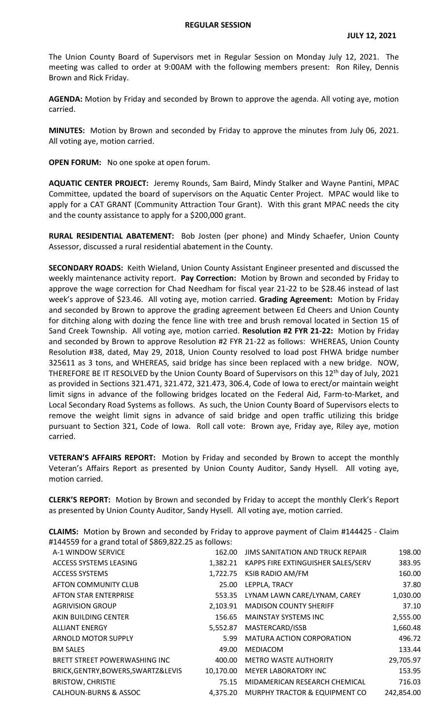The Union County Board of Supervisors met in Regular Session on Monday July 12, 2021. The meeting was called to order at 9:00AM with the following members present: Ron Riley, Dennis Brown and Rick Friday.

**AGENDA:** Motion by Friday and seconded by Brown to approve the agenda. All voting aye, motion carried.

**MINUTES:** Motion by Brown and seconded by Friday to approve the minutes from July 06, 2021. All voting aye, motion carried.

**OPEN FORUM:** No one spoke at open forum.

**AQUATIC CENTER PROJECT:** Jeremy Rounds, Sam Baird, Mindy Stalker and Wayne Pantini, MPAC Committee, updated the board of supervisors on the Aquatic Center Project. MPAC would like to apply for a CAT GRANT (Community Attraction Tour Grant). With this grant MPAC needs the city and the county assistance to apply for a \$200,000 grant.

**RURAL RESIDENTIAL ABATEMENT:** Bob Josten (per phone) and Mindy Schaefer, Union County Assessor, discussed a rural residential abatement in the County.

**SECONDARY ROADS:** Keith Wieland, Union County Assistant Engineer presented and discussed the weekly maintenance activity report. **Pay Correction:** Motion by Brown and seconded by Friday to approve the wage correction for Chad Needham for fiscal year 21-22 to be \$28.46 instead of last week's approve of \$23.46. All voting aye, motion carried. **Grading Agreement:** Motion by Friday and seconded by Brown to approve the grading agreement between Ed Cheers and Union County for ditching along with dozing the fence line with tree and brush removal located in Section 15 of Sand Creek Township. All voting aye, motion carried. **Resolution #2 FYR 21-22:** Motion by Friday and seconded by Brown to approve Resolution #2 FYR 21-22 as follows: WHEREAS, Union County Resolution #38, dated, May 29, 2018, Union County resolved to load post FHWA bridge number 325611 as 3 tons, and WHEREAS, said bridge has since been replaced with a new bridge. NOW, THEREFORE BE IT RESOLVED by the Union County Board of Supervisors on this 12<sup>th</sup> day of July, 2021 as provided in Sections 321.471, 321.472, 321.473, 306.4, Code of Iowa to erect/or maintain weight limit signs in advance of the following bridges located on the Federal Aid, Farm-to-Market, and Local Secondary Road Systems as follows. As such, the Union County Board of Supervisors elects to remove the weight limit signs in advance of said bridge and open traffic utilizing this bridge pursuant to Section 321, Code of Iowa. Roll call vote: Brown aye, Friday aye, Riley aye, motion carried.

**VETERAN'S AFFAIRS REPORT:** Motion by Friday and seconded by Brown to accept the monthly Veteran's Affairs Report as presented by Union County Auditor, Sandy Hysell. All voting aye, motion carried.

**CLERK'S REPORT:** Motion by Brown and seconded by Friday to accept the monthly Clerk's Report as presented by Union County Auditor, Sandy Hysell. All voting aye, motion carried.

**CLAIMS:** Motion by Brown and seconded by Friday to approve payment of Claim #144425 - Claim #144559 for a grand total of \$869,822.25 as follows:

| A-1 WINDOW SERVICE                  | 162.00    | <b>JIMS SANITATION AND TRUCK REPAIR</b>     | 198.00     |
|-------------------------------------|-----------|---------------------------------------------|------------|
| ACCESS SYSTEMS LEASING              |           | 1,382.21 KAPPS FIRE EXTINGUISHER SALES/SERV | 383.95     |
| <b>ACCESS SYSTEMS</b>               | 1,722.75  | KSIB RADIO AM/FM                            | 160.00     |
| AFTON COMMUNITY CLUB                | 25.00     | LEPPLA, TRACY                               | 37.80      |
| <b>AFTON STAR ENTERPRISE</b>        | 553.35    | LYNAM LAWN CARE/LYNAM, CAREY                | 1,030.00   |
| <b>AGRIVISION GROUP</b>             | 2.103.91  | <b>MADISON COUNTY SHERIFF</b>               | 37.10      |
| AKIN BUILDING CENTER                | 156.65    | <b>MAINSTAY SYSTEMS INC</b>                 | 2,555.00   |
| <b>ALLIANT ENERGY</b>               | 5,552.87  | MASTERCARD/ISSB                             | 1,660.48   |
| ARNOLD MOTOR SUPPLY                 | 5.99      | <b>MATURA ACTION CORPORATION</b>            | 496.72     |
| <b>BM SALES</b>                     | 49.00     | MEDIACOM                                    | 133.44     |
| BRETT STREET POWERWASHING INC       | 400.00    | <b>METRO WASTE AUTHORITY</b>                | 29,705.97  |
| BRICK, GENTRY, BOWERS, SWARTZ&LEVIS | 10,170.00 | <b>MEYER LABORATORY INC</b>                 | 153.95     |
| <b>BRISTOW, CHRISTIE</b>            | 75.15     | MIDAMERICAN RESEARCH CHEMICAL               | 716.03     |
| <b>CALHOUN-BURNS &amp; ASSOC</b>    |           | 4,375.20 MURPHY TRACTOR & EQUIPMENT CO      | 242,854.00 |